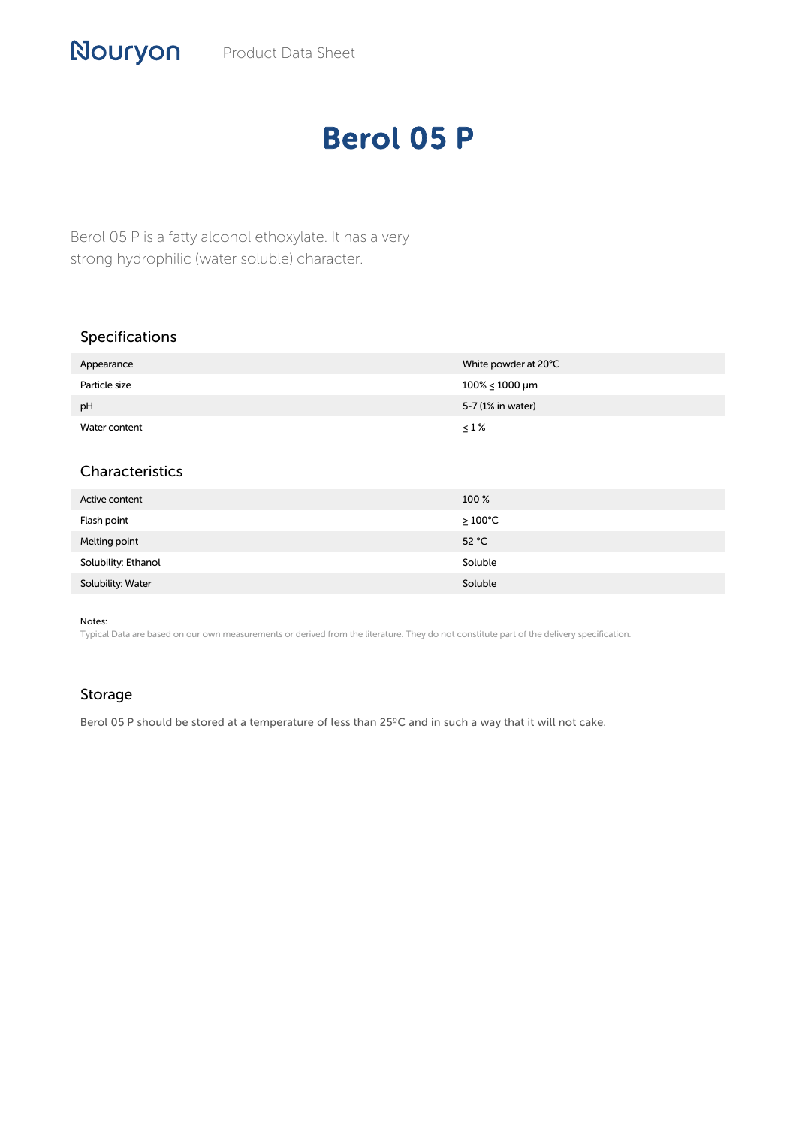## Berol 05 P

Berol 05 P is a fatty alcohol ethoxylate. It has a very strong hydrophilic (water soluble) character.

## Specifications

| Appearance    | White powder at 20°C     |
|---------------|--------------------------|
| Particle size | $100\% \le 1000 \ \mu m$ |
| pH            | 5-7 (1% in water)        |
| Water content | $\leq 1\%$               |

## Characteristics

| Active content      | 100 %                |
|---------------------|----------------------|
| Flash point         | $\geq 100^{\circ}$ C |
| Melting point       | 52 °C                |
| Solubility: Ethanol | Soluble              |
| Solubility: Water   | Soluble              |

Notes:

Typical Data are based on our own measurements or derived from the literature. They do not constitute part of the delivery specification.

## Storage

Berol 05 P should be stored at a temperature of less than 25ºC and in such a way that it will not cake.